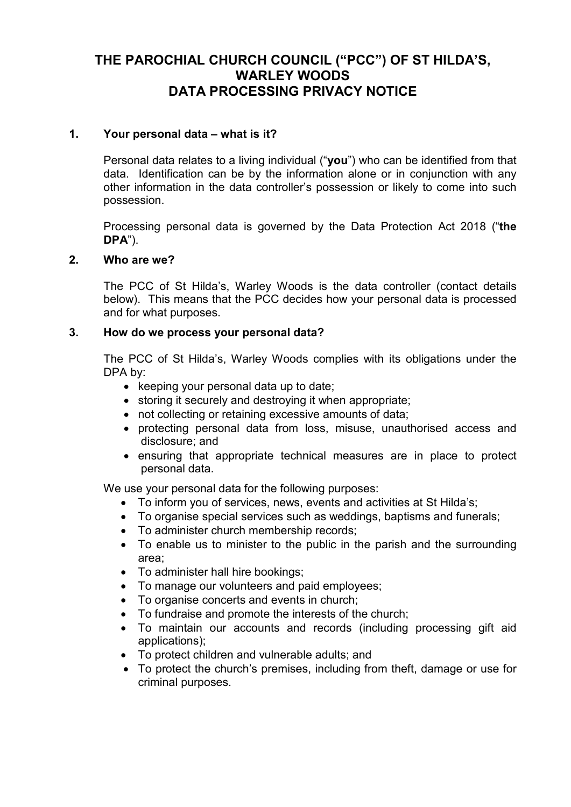# **THE PAROCHIAL CHURCH COUNCIL ("PCC") OF ST HILDA'S, WARLEY WOODS DATA PROCESSING PRIVACY NOTICE**

### **1. Your personal data – what is it?**

Personal data relates to a living individual ("**you**") who can be identified from that data. Identification can be by the information alone or in conjunction with any other information in the data controller's possession or likely to come into such possession.

Processing personal data is governed by the Data Protection Act 2018 ("**the DPA**").

#### **2. Who are we?**

The PCC of St Hilda's, Warley Woods is the data controller (contact details below). This means that the PCC decides how your personal data is processed and for what purposes.

#### **3. How do we process your personal data?**

The PCC of St Hilda's, Warley Woods complies with its obligations under the DPA by:

- keeping your personal data up to date;
- storing it securely and destroying it when appropriate;
- not collecting or retaining excessive amounts of data;
- protecting personal data from loss, misuse, unauthorised access and disclosure; and
- ensuring that appropriate technical measures are in place to protect personal data.

We use your personal data for the following purposes:

- To inform you of services, news, events and activities at St Hilda's;
- To organise special services such as weddings, baptisms and funerals;
- To administer church membership records;
- To enable us to minister to the public in the parish and the surrounding area;
- To administer hall hire bookings;
- To manage our volunteers and paid employees;
- To organise concerts and events in church;
- To fundraise and promote the interests of the church;
- To maintain our accounts and records (including processing gift aid applications);
- To protect children and vulnerable adults; and
- To protect the church's premises, including from theft, damage or use for criminal purposes.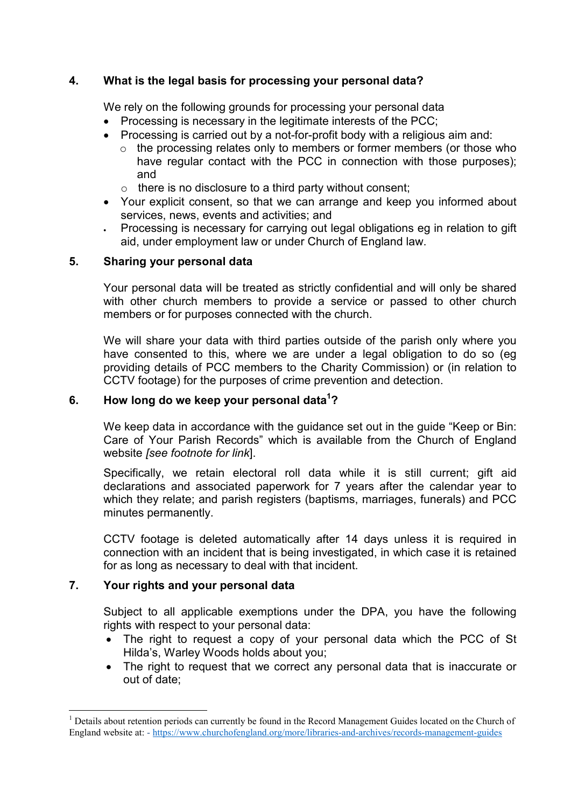### **4. What is the legal basis for processing your personal data?**

We rely on the following grounds for processing your personal data

- Processing is necessary in the legitimate interests of the PCC;
- Processing is carried out by a not-for-profit body with a religious aim and:
	- o the processing relates only to members or former members (or those who have regular contact with the PCC in connection with those purposes); and
	- $\circ$  there is no disclosure to a third party without consent;
- Your explicit consent, so that we can arrange and keep you informed about services, news, events and activities; and
- Processing is necessary for carrying out legal obligations eg in relation to gift aid, under employment law or under Church of England law.

### **5. Sharing your personal data**

Your personal data will be treated as strictly confidential and will only be shared with other church members to provide a service or passed to other church members or for purposes connected with the church.

We will share your data with third parties outside of the parish only where you have consented to this, where we are under a legal obligation to do so (eg providing details of PCC members to the Charity Commission) or (in relation to CCTV footage) for the purposes of crime prevention and detection.

# **6. How long do we keep your personal data<sup>1</sup> ?**

We keep data in accordance with the guidance set out in the guide "Keep or Bin: Care of Your Parish Records" which is available from the Church of England website *[see footnote for link*].

Specifically, we retain electoral roll data while it is still current; gift aid declarations and associated paperwork for 7 years after the calendar year to which they relate; and parish registers (baptisms, marriages, funerals) and PCC minutes permanently.

CCTV footage is deleted automatically after 14 days unless it is required in connection with an incident that is being investigated, in which case it is retained for as long as necessary to deal with that incident.

# **7. Your rights and your personal data**

-

Subject to all applicable exemptions under the DPA, you have the following rights with respect to your personal data:

- The right to request a copy of your personal data which the PCC of St Hilda's, Warley Woods holds about you;
- The right to request that we correct any personal data that is inaccurate or out of date;

<sup>&</sup>lt;sup>1</sup> Details about retention periods can currently be found in the Record Management Guides located on the Church of England website at: - https://www.churchofengland.org/more/libraries-and-archives/records-management-guides